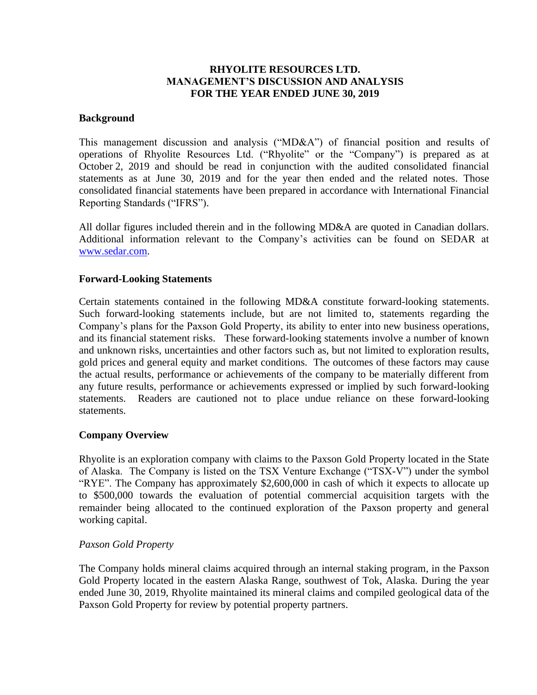# **RHYOLITE RESOURCES LTD. MANAGEMENT'S DISCUSSION AND ANALYSIS FOR THE YEAR ENDED JUNE 30, 2019**

#### **Background**

This management discussion and analysis ("MD&A") of financial position and results of operations of Rhyolite Resources Ltd. ("Rhyolite" or the "Company") is prepared as at October 2, 2019 and should be read in conjunction with the audited consolidated financial statements as at June 30, 2019 and for the year then ended and the related notes. Those consolidated financial statements have been prepared in accordance with International Financial Reporting Standards ("IFRS").

All dollar figures included therein and in the following MD&A are quoted in Canadian dollars. Additional information relevant to the Company's activities can be found on SEDAR at [www.sedar.com.](http://www.sedar.com/)

# **Forward-Looking Statements**

Certain statements contained in the following MD&A constitute forward-looking statements. Such forward-looking statements include, but are not limited to, statements regarding the Company's plans for the Paxson Gold Property, its ability to enter into new business operations, and its financial statement risks. These forward-looking statements involve a number of known and unknown risks, uncertainties and other factors such as, but not limited to exploration results, gold prices and general equity and market conditions. The outcomes of these factors may cause the actual results, performance or achievements of the company to be materially different from any future results, performance or achievements expressed or implied by such forward-looking statements. Readers are cautioned not to place undue reliance on these forward-looking statements.

# **Company Overview**

Rhyolite is an exploration company with claims to the Paxson Gold Property located in the State of Alaska. The Company is listed on the TSX Venture Exchange ("TSX-V") under the symbol "RYE". The Company has approximately \$2,600,000 in cash of which it expects to allocate up to \$500,000 towards the evaluation of potential commercial acquisition targets with the remainder being allocated to the continued exploration of the Paxson property and general working capital.

#### *Paxson Gold Property*

The Company holds mineral claims acquired through an internal staking program, in the Paxson Gold Property located in the eastern Alaska Range, southwest of Tok, Alaska. During the year ended June 30, 2019, Rhyolite maintained its mineral claims and compiled geological data of the Paxson Gold Property for review by potential property partners.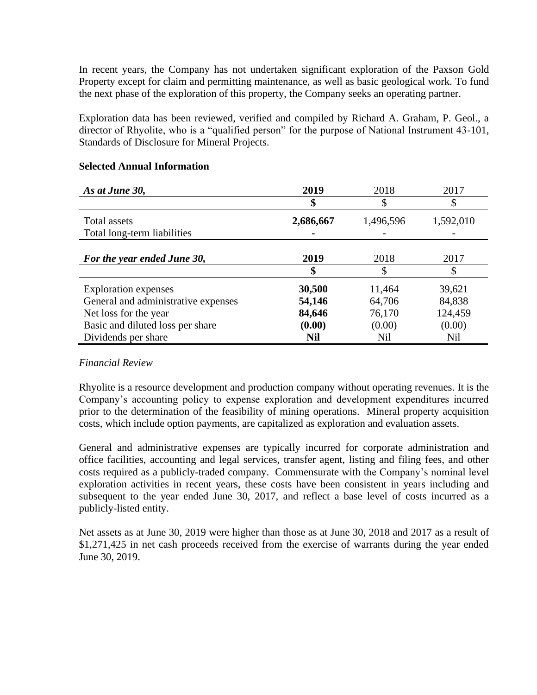In recent years, the Company has not undertaken significant exploration of the Paxson Gold Property except for claim and permitting maintenance, as well as basic geological work. To fund the next phase of the exploration of this property, the Company seeks an operating partner.

Exploration data has been reviewed, verified and compiled by Richard A. Graham, P. Geol., a director of Rhyolite, who is a "qualified person" for the purpose of National Instrument 43-101, Standards of Disclosure for Mineral Projects.

| As at June 30,                      | 2019       | 2018      | 2017      |
|-------------------------------------|------------|-----------|-----------|
|                                     | \$         | \$        | \$        |
| Total assets                        | 2,686,667  | 1,496,596 | 1,592,010 |
| Total long-term liabilities         |            |           |           |
|                                     |            |           |           |
| For the year ended June 30,         | 2019       | 2018      | 2017      |
|                                     | \$         |           | \$        |
| <b>Exploration</b> expenses         | 30,500     | 11,464    | 39,621    |
| General and administrative expenses | 54,146     | 64,706    | 84,838    |
| Net loss for the year               | 84,646     | 76,170    | 124,459   |
| Basic and diluted loss per share    | (0.00)     | (0.00)    | (0.00)    |
| Dividends per share                 | <b>Nil</b> | Nil       | Nil       |

# **Selected Annual Information**

#### *Financial Review*

Rhyolite is a resource development and production company without operating revenues. It is the Company's accounting policy to expense exploration and development expenditures incurred prior to the determination of the feasibility of mining operations. Mineral property acquisition costs, which include option payments, are capitalized as exploration and evaluation assets.

General and administrative expenses are typically incurred for corporate administration and office facilities, accounting and legal services, transfer agent, listing and filing fees, and other costs required as a publicly-traded company. Commensurate with the Company's nominal level exploration activities in recent years, these costs have been consistent in years including and subsequent to the year ended June 30, 2017, and reflect a base level of costs incurred as a publicly-listed entity.

Net assets as at June 30, 2019 were higher than those as at June 30, 2018 and 2017 as a result of \$1,271,425 in net cash proceeds received from the exercise of warrants during the year ended June 30, 2019.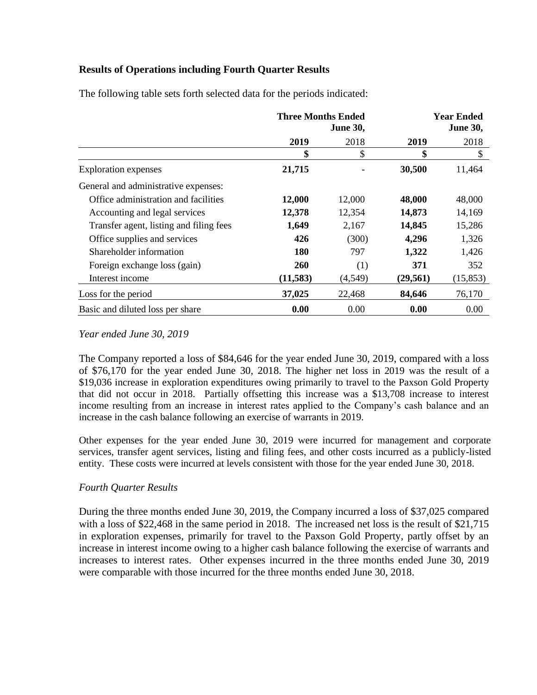# **Results of Operations including Fourth Quarter Results**

|                                         | <b>Three Months Ended</b><br><b>June 30,</b> |         | <b>Year Ended</b><br><b>June 30,</b> |           |
|-----------------------------------------|----------------------------------------------|---------|--------------------------------------|-----------|
|                                         | 2019                                         | 2018    | 2019                                 | 2018      |
|                                         | \$                                           | \$      | \$                                   | \$        |
| <b>Exploration</b> expenses             | 21,715                                       |         | 30,500                               | 11,464    |
| General and administrative expenses:    |                                              |         |                                      |           |
| Office administration and facilities    | 12,000                                       | 12,000  | 48,000                               | 48,000    |
| Accounting and legal services           | 12,378                                       | 12,354  | 14,873                               | 14,169    |
| Transfer agent, listing and filing fees | 1,649                                        | 2,167   | 14,845                               | 15,286    |
| Office supplies and services            | 426                                          | (300)   | 4,296                                | 1,326     |
| Shareholder information                 | <b>180</b>                                   | 797     | 1,322                                | 1,426     |
| Foreign exchange loss (gain)            | <b>260</b>                                   | (1)     | 371                                  | 352       |
| Interest income                         | (11,583)                                     | (4,549) | (29, 561)                            | (15, 853) |
| Loss for the period                     | 37,025                                       | 22,468  | 84,646                               | 76,170    |
| Basic and diluted loss per share        | 0.00                                         | 0.00    | 0.00                                 | 0.00      |

The following table sets forth selected data for the periods indicated:

# *Year ended June 30, 2019*

The Company reported a loss of \$84,646 for the year ended June 30, 2019, compared with a loss of \$76,170 for the year ended June 30, 2018. The higher net loss in 2019 was the result of a \$19,036 increase in exploration expenditures owing primarily to travel to the Paxson Gold Property that did not occur in 2018. Partially offsetting this increase was a \$13,708 increase to interest income resulting from an increase in interest rates applied to the Company's cash balance and an increase in the cash balance following an exercise of warrants in 2019.

Other expenses for the year ended June 30, 2019 were incurred for management and corporate services, transfer agent services, listing and filing fees, and other costs incurred as a publicly-listed entity. These costs were incurred at levels consistent with those for the year ended June 30, 2018.

# *Fourth Quarter Results*

During the three months ended June 30, 2019, the Company incurred a loss of \$37,025 compared with a loss of \$22,468 in the same period in 2018. The increased net loss is the result of \$21,715 in exploration expenses, primarily for travel to the Paxson Gold Property, partly offset by an increase in interest income owing to a higher cash balance following the exercise of warrants and increases to interest rates. Other expenses incurred in the three months ended June 30, 2019 were comparable with those incurred for the three months ended June 30, 2018.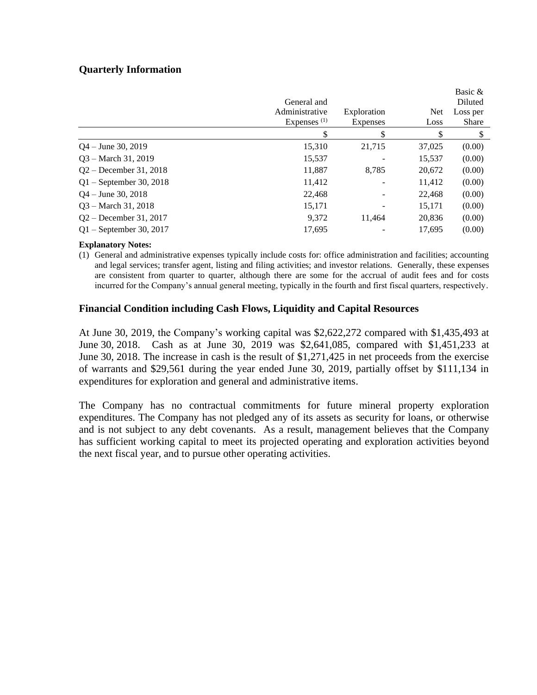# **Quarterly Information**

|                           | General and    |                          |            | Basic &<br>Diluted |
|---------------------------|----------------|--------------------------|------------|--------------------|
|                           | Administrative | Exploration              | <b>Net</b> | Loss per           |
|                           | Expenses $(1)$ | <b>Expenses</b>          | Loss       | <b>Share</b>       |
|                           |                | \$                       |            | S                  |
| $Q_4$ – June 30, 2019     | 15,310         | 21,715                   | 37,025     | (0.00)             |
| $Q3 - March 31, 2019$     | 15,537         |                          | 15,537     | (0.00)             |
| $Q2 - December 31, 2018$  | 11,887         | 8,785                    | 20,672     | (0.00)             |
| $Q1$ – September 30, 2018 | 11,412         |                          | 11,412     | (0.00)             |
| $Q_4$ – June 30, 2018     | 22,468         | $\overline{\phantom{a}}$ | 22,468     | (0.00)             |
| $Q3 - March 31, 2018$     | 15,171         | $\qquad \qquad -$        | 15,171     | (0.00)             |
| $Q2 - December 31, 2017$  | 9,372          | 11,464                   | 20,836     | (0.00)             |
| $Q1 -$ September 30, 2017 | 17.695         |                          | 17,695     | (0.00)             |

#### **Explanatory Notes:**

(1) General and administrative expenses typically include costs for: office administration and facilities; accounting and legal services; transfer agent, listing and filing activities; and investor relations. Generally, these expenses are consistent from quarter to quarter, although there are some for the accrual of audit fees and for costs incurred for the Company's annual general meeting, typically in the fourth and first fiscal quarters, respectively.

#### **Financial Condition including Cash Flows, Liquidity and Capital Resources**

At June 30, 2019, the Company's working capital was \$2,622,272 compared with \$1,435,493 at June 30, 2018. Cash as at June 30, 2019 was \$2,641,085, compared with \$1,451,233 at June 30, 2018. The increase in cash is the result of \$1,271,425 in net proceeds from the exercise of warrants and \$29,561 during the year ended June 30, 2019, partially offset by \$111,134 in expenditures for exploration and general and administrative items.

The Company has no contractual commitments for future mineral property exploration expenditures. The Company has not pledged any of its assets as security for loans, or otherwise and is not subject to any debt covenants. As a result, management believes that the Company has sufficient working capital to meet its projected operating and exploration activities beyond the next fiscal year, and to pursue other operating activities.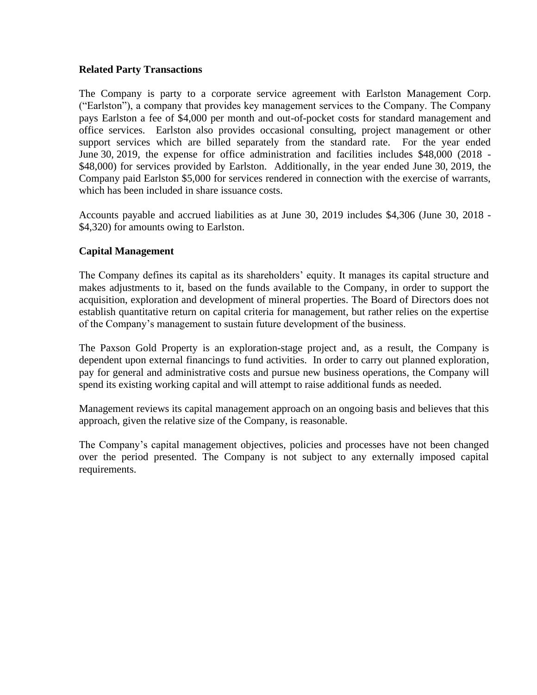#### **Related Party Transactions**

The Company is party to a corporate service agreement with Earlston Management Corp. ("Earlston"), a company that provides key management services to the Company. The Company pays Earlston a fee of \$4,000 per month and out-of-pocket costs for standard management and office services. Earlston also provides occasional consulting, project management or other support services which are billed separately from the standard rate. For the year ended June 30, 2019, the expense for office administration and facilities includes \$48,000 (2018 - \$48,000) for services provided by Earlston. Additionally, in the year ended June 30, 2019, the Company paid Earlston \$5,000 for services rendered in connection with the exercise of warrants, which has been included in share issuance costs.

Accounts payable and accrued liabilities as at June 30, 2019 includes \$4,306 (June 30, 2018 - \$4,320) for amounts owing to Earlston.

# **Capital Management**

The Company defines its capital as its shareholders' equity. It manages its capital structure and makes adjustments to it, based on the funds available to the Company, in order to support the acquisition, exploration and development of mineral properties. The Board of Directors does not establish quantitative return on capital criteria for management, but rather relies on the expertise of the Company's management to sustain future development of the business.

The Paxson Gold Property is an exploration-stage project and, as a result, the Company is dependent upon external financings to fund activities. In order to carry out planned exploration, pay for general and administrative costs and pursue new business operations, the Company will spend its existing working capital and will attempt to raise additional funds as needed.

Management reviews its capital management approach on an ongoing basis and believes that this approach, given the relative size of the Company, is reasonable.

The Company's capital management objectives, policies and processes have not been changed over the period presented. The Company is not subject to any externally imposed capital requirements.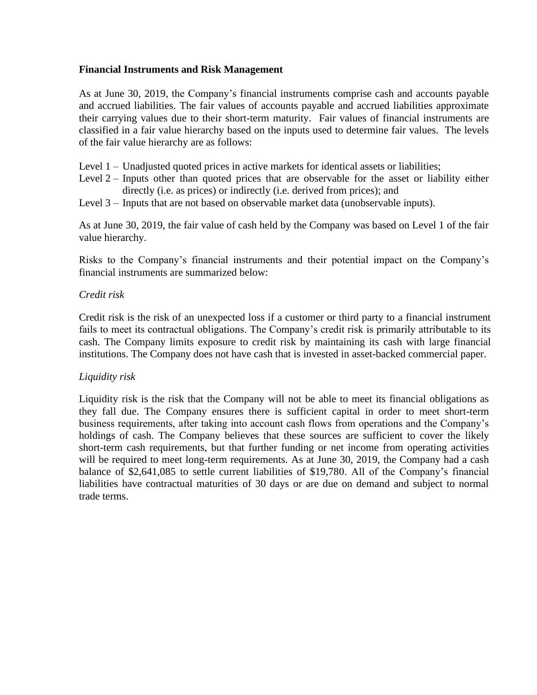#### **Financial Instruments and Risk Management**

As at June 30, 2019, the Company's financial instruments comprise cash and accounts payable and accrued liabilities. The fair values of accounts payable and accrued liabilities approximate their carrying values due to their short-term maturity. Fair values of financial instruments are classified in a fair value hierarchy based on the inputs used to determine fair values. The levels of the fair value hierarchy are as follows:

- Level 1 Unadjusted quoted prices in active markets for identical assets or liabilities;
- Level  $2$  Inputs other than quoted prices that are observable for the asset or liability either directly (i.e. as prices) or indirectly (i.e. derived from prices); and
- Level 3 Inputs that are not based on observable market data (unobservable inputs).

As at June 30, 2019, the fair value of cash held by the Company was based on Level 1 of the fair value hierarchy.

Risks to the Company's financial instruments and their potential impact on the Company's financial instruments are summarized below:

# *Credit risk*

Credit risk is the risk of an unexpected loss if a customer or third party to a financial instrument fails to meet its contractual obligations. The Company's credit risk is primarily attributable to its cash. The Company limits exposure to credit risk by maintaining its cash with large financial institutions. The Company does not have cash that is invested in asset-backed commercial paper.

# *Liquidity risk*

Liquidity risk is the risk that the Company will not be able to meet its financial obligations as they fall due. The Company ensures there is sufficient capital in order to meet short-term business requirements, after taking into account cash flows from operations and the Company's holdings of cash. The Company believes that these sources are sufficient to cover the likely short-term cash requirements, but that further funding or net income from operating activities will be required to meet long-term requirements. As at June 30, 2019, the Company had a cash balance of \$2,641,085 to settle current liabilities of \$19,780. All of the Company's financial liabilities have contractual maturities of 30 days or are due on demand and subject to normal trade terms.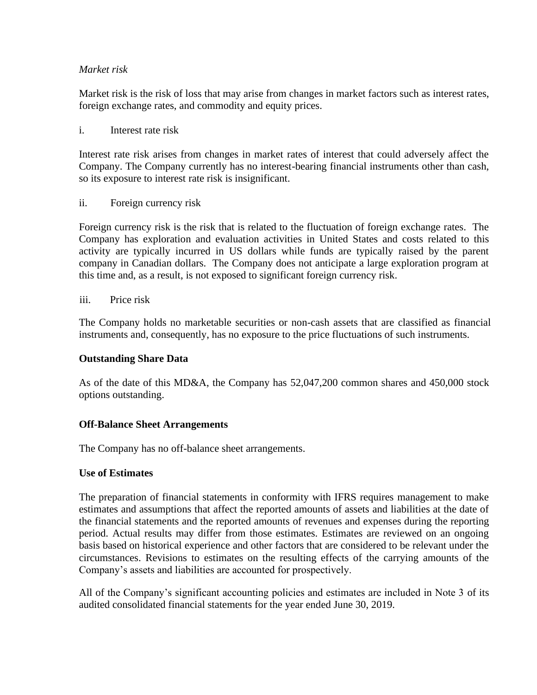# *Market risk*

Market risk is the risk of loss that may arise from changes in market factors such as interest rates, foreign exchange rates, and commodity and equity prices.

#### i. Interest rate risk

Interest rate risk arises from changes in market rates of interest that could adversely affect the Company. The Company currently has no interest-bearing financial instruments other than cash, so its exposure to interest rate risk is insignificant.

ii. Foreign currency risk

Foreign currency risk is the risk that is related to the fluctuation of foreign exchange rates. The Company has exploration and evaluation activities in United States and costs related to this activity are typically incurred in US dollars while funds are typically raised by the parent company in Canadian dollars. The Company does not anticipate a large exploration program at this time and, as a result, is not exposed to significant foreign currency risk.

iii. Price risk

The Company holds no marketable securities or non-cash assets that are classified as financial instruments and, consequently, has no exposure to the price fluctuations of such instruments.

# **Outstanding Share Data**

As of the date of this MD&A, the Company has 52,047,200 common shares and 450,000 stock options outstanding.

#### **Off-Balance Sheet Arrangements**

The Company has no off-balance sheet arrangements.

#### **Use of Estimates**

The preparation of financial statements in conformity with IFRS requires management to make estimates and assumptions that affect the reported amounts of assets and liabilities at the date of the financial statements and the reported amounts of revenues and expenses during the reporting period. Actual results may differ from those estimates. Estimates are reviewed on an ongoing basis based on historical experience and other factors that are considered to be relevant under the circumstances. Revisions to estimates on the resulting effects of the carrying amounts of the Company's assets and liabilities are accounted for prospectively.

All of the Company's significant accounting policies and estimates are included in Note 3 of its audited consolidated financial statements for the year ended June 30, 2019.